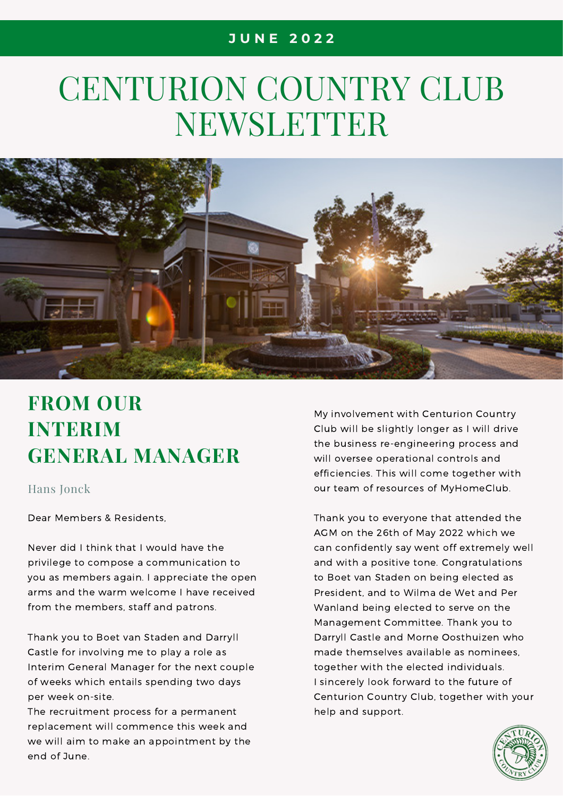# CENTURION COUNTRY CLUB NEWSLETTER



# **FROM OUR INTERIM GENERAL MANAGER**

#### Hans Jonck

Dear Members & Residents,

Never did I think that I would have the privilege to compose a communication to you as members again. I appreciate the open arms and the warm welcome I have received from the members, staff and patrons.

Thank you to Boet van Staden and Darryll Castle for involving me to play a role as Interim General Manager for the next couple of weeks which entails spending two days per week on-site.

The recruitment process for a permanent replacement will commence this week and we will aim to make an appointment by the end of June.

My involvement with Centurion Country Club will be slightly longer as I will drive the business re-engineering process and will oversee operational controls and efficiencies. This will come together with our team of resources of MyHomeClub.

Thank you to everyone that attended the AGM on the 26th of May 2022 which we can confidently say went off extremely well and with a positive tone. Congratulations to Boet van Staden on being elected as President, and to Wilma de Wet and Per Wanland being elected to serve on the Management Committee. Thank you to Darryll Castle and Morne Oosthuizen who made themselves available as nominees, together with the elected individuals. I sincerely look forward to the future of Centurion Country Club, together with your help and support.

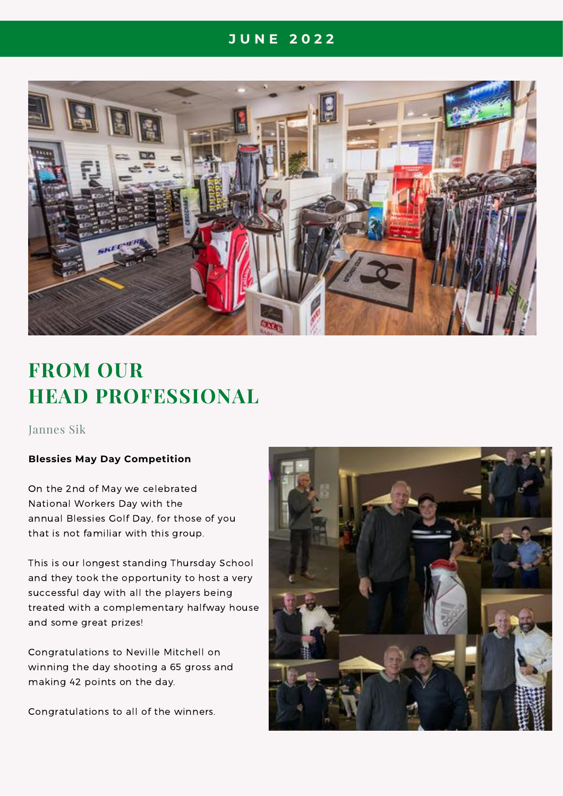

# **FROM OUR HEAD PROFESSIONAL**

#### Jannes Sik

#### **Blessies May Day Competition**

On the 2nd of May we celebrated National Workers Day with the annual Blessies Golf Day, for those of you that is not familiar with this group.

This is our longest standing Thursday School and they took the opportunity to host a very successful day with all the players being treated with a complementary halfway house and some great prizes!

Congratulations to Neville Mitchell on winning the day shooting a 65 gross and making 42 points on the day.

Congratulations to all of the winners.

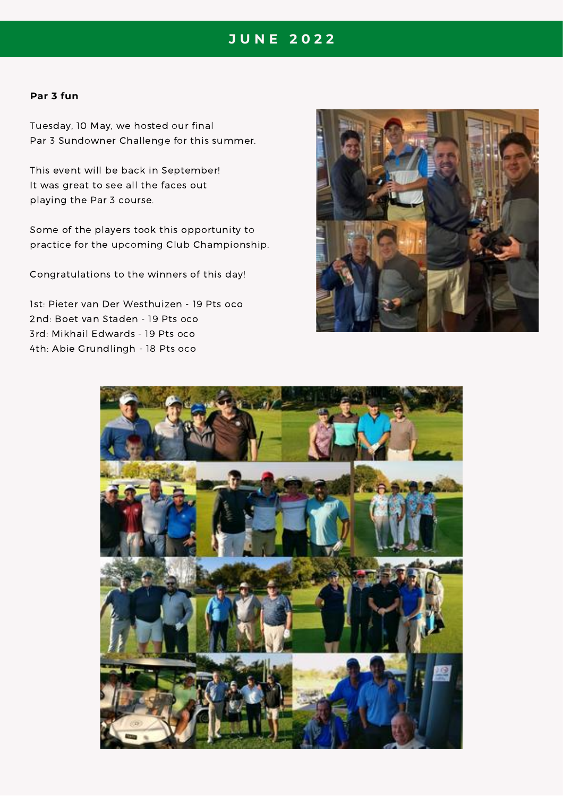#### **Par 3 fun**

Tuesday, 10 May, we hosted our final Par 3 Sundowner Challenge for this summer.

This event will be back in September! It was great to see all the faces out playing the Par 3 course.

Some of the players took this opportunity to practice for the upcoming Club Championship.

Congratulations to the winners of this day!

1st: Pieter van Der Westhuizen - 19 Pts oco 2nd: Boet van Staden - 19 Pts oco 3rd: Mikhail Edwards - 19 Pts oco 4th: Abie Grundlingh - 18 Pts oco



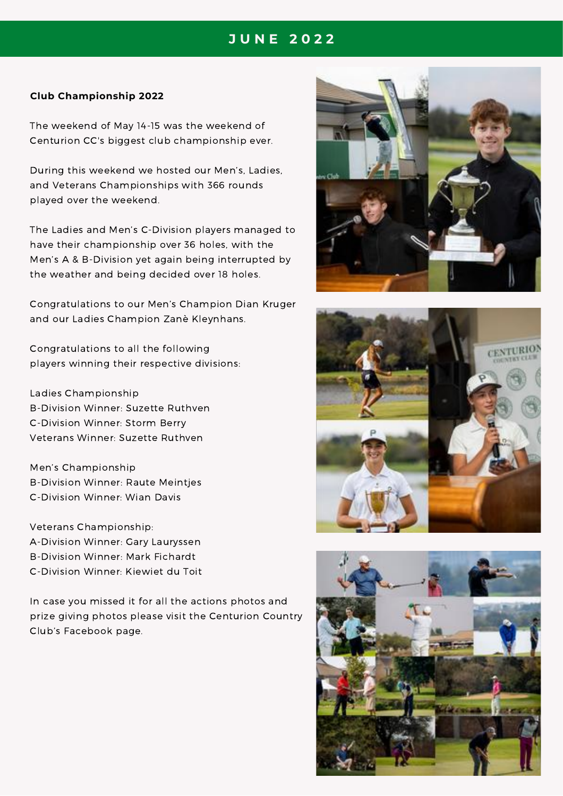#### **Club Championship 2022**

The weekend of May 14-15 was the weekend of Centurion CC's biggest club championship ever.

During this weekend we hosted our Men's, Ladies, and Veterans Championships with 366 rounds played over the weekend.

The Ladies and Men's C-Division players managed to have their championship over 36 holes, with the Men's A & B-Division yet again being interrupted by the weather and being decided over 18 holes.

Congratulations to our Men's Champion Dian Kruger and our Ladies Champion Zanè Kleynhans.

Congratulations to all the following players winning their respective divisions:

Ladies Championship B-Division Winner: Suzette Ruthven C-Division Winner: Storm Berry Veterans Winner: Suzette Ruthven

Men's Championship B-Division Winner: Raute Meintjes C-Division Winner: Wian Davis

Veterans Championship: A-Division Winner: Gary Lauryssen B-Division Winner: Mark Fichardt C-Division Winner: Kiewiet du Toit

In case you missed it for all the actions photos and prize giving photos please visit the Centurion Country Club's Facebook page.





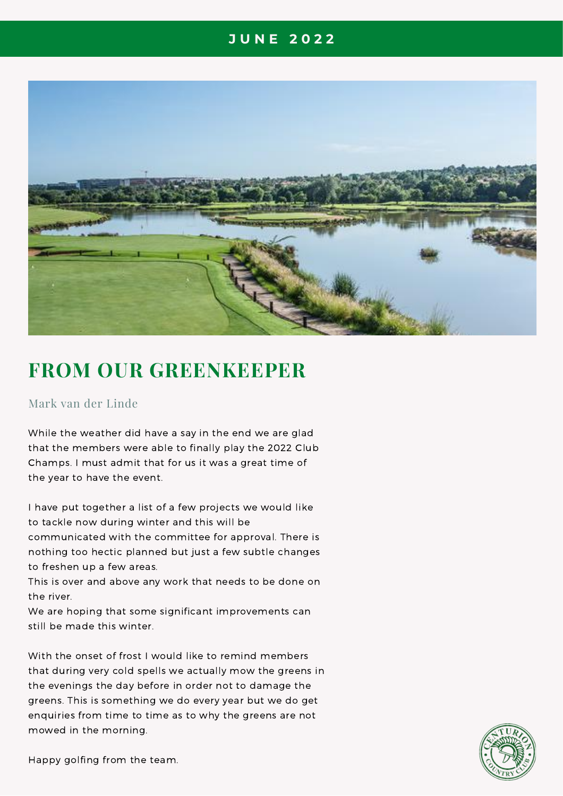

### **FROM OUR GREENKEEPER**

#### Mark van der Linde

While the weather did have a say in the end we are glad that the members were able to finally play the 2022 Club Champs. I must admit that for us it was a great time of the year to have the event.

I have put together a list of a few projects we would like to tackle now during winter and this will be communicated with the committee for approval. There is nothing too hectic planned but just a few subtle changes to freshen up a few areas.

This is over and above any work that needs to be done on the river.

We are hoping that some significant improvements can still be made this winter.

With the onset of frost I would like to remind members that during very cold spells we actually mow the greens in the evenings the day before in order not to damage the greens. This is something we do every year but we do get enquiries from time to time as to why the greens are not mowed in the morning.



Happy golfing from the team.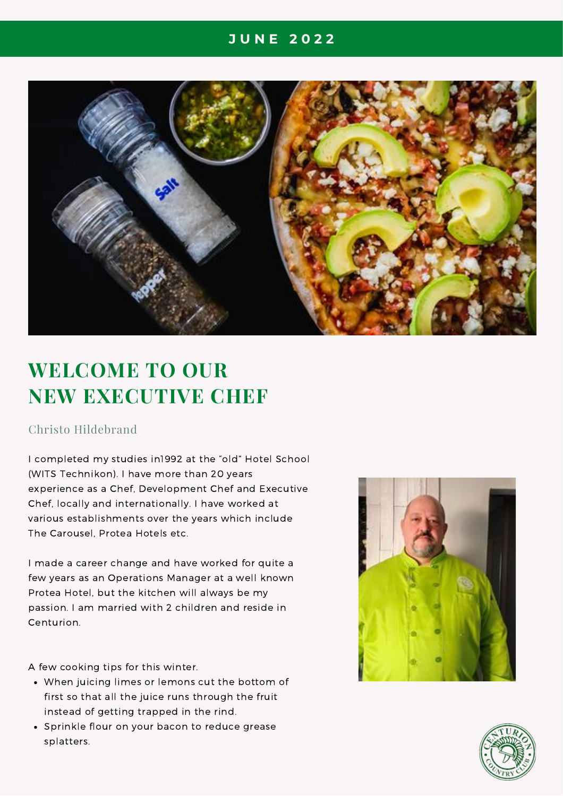

# **WELCOME TO OUR NEW EXECUTIVE CHEF**

#### Christo Hildebrand

I completed my studies in1992 at the "old" Hotel School (WITS Technikon). I have more than 20 years experience as a Chef, Development Chef and Executive Chef, locally and internationally. I have worked at various establishments over the years which include The Carousel, Protea Hotels etc.

I made a career change and have worked for quite a few years as an Operations Manager at a well known Protea Hotel, but the kitchen will always be my passion. I am married with 2 children and reside in Centurion.

A few cooking tips for this winter.

- When juicing limes or lemons cut the bottom of first so that all the juice runs through the fruit instead of getting trapped in the rind.
- Sprinkle flour on your bacon to reduce grease splatters.



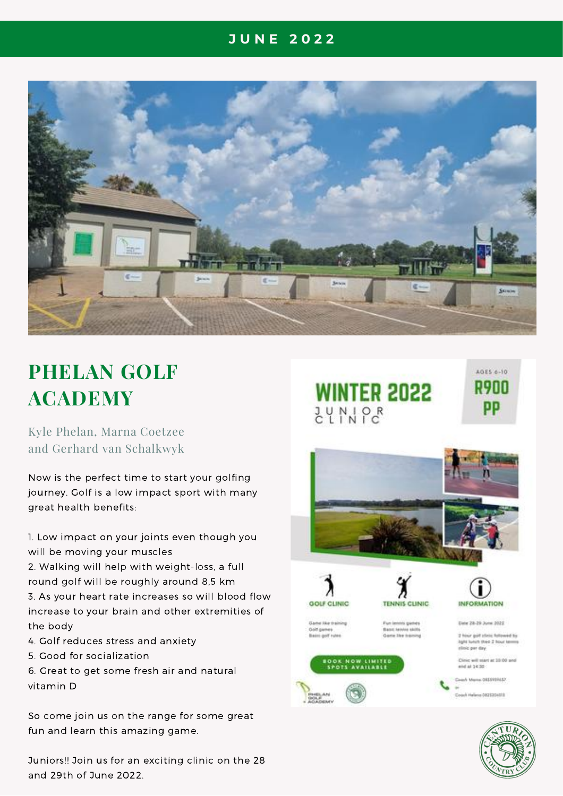

# **PHELAN GOLF ACADEMY**

Kyle Phelan, Marna Coetzee and Gerhard van Schalkwyk

Now is the perfect time to start your golfing journey. Golf is a low impact sport with many great health benefits:

1. Low impact on your joints even though you will be moving your muscles

2. Walking will help with weight-loss, a full round golf will be roughly around 8,5 km 3. As your heart rate increases so will blood flow increase to your brain and other extremities of the body

- 4. Golf reduces stress and anxiety
- 5. Good for socialization

6. Great to get some fresh air and natural vitamin D

So come join us on the range for some great fun and learn this amazing game.

Juniors!! Join us for an exciting clinic on the 28 and 29th of June 2022.

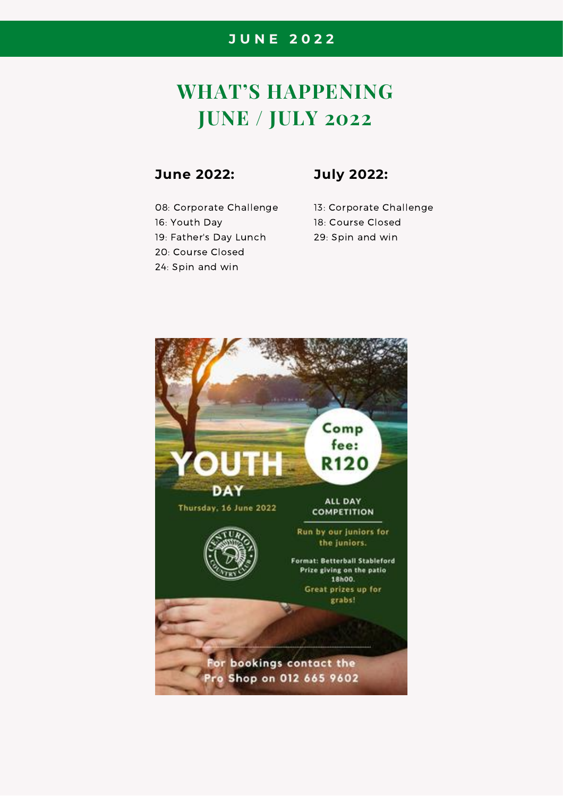## **WHAT'S HAPPENING JUNE / JULY 2022**

#### **June 2022:**

08: Corporate Challenge 16: Youth Day 19: Father's Day Lunch 20: Course Closed 24: Spin and win

#### **July 2022:**

13: Corporate Challenge 18: Course Closed 29: Spin and win

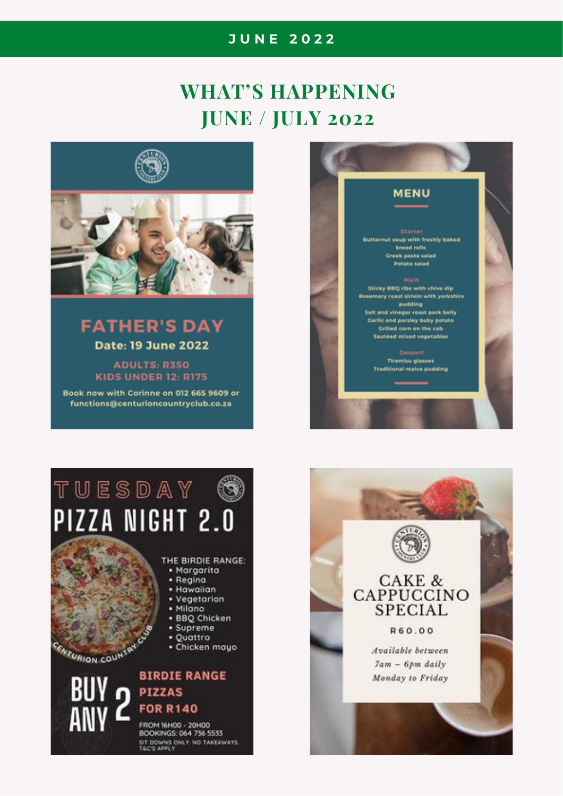## **WHAT'S HAPPENING JUNE / JULY 2022**



### **FATHER'S DAY Date: 19 June 2022**

**ADULTS: R350 KIDS UNDER 12: R175** 

Book now with Corinne on 012 665 9609 or functions@centurioncountryclub.co.za



# TUESDAY (S) PIZZA NIGHT 2.0

#### THE BIRDIE RANGE:

- · Margarita
- Regina
- · Hawaiian
- Vegetarian • Milano
- · BBQ Chicken
- Supreme
- · Quattro
- Chicken mayo

CENTURION COUNTRY

#### **BIRDIE RANGE** n PIZZAS **FOR R140**

FROM 16H00 - 20H00 BOOKINGS: 064 736 5533 SIT DOWNS ONLY, NO TAKEAWAYS.<br>TGC'S APPLY